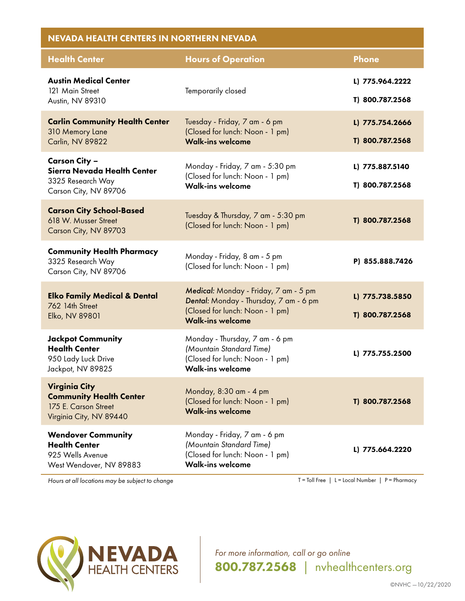| <b>NEVADA HEALTH CENTERS IN NORTHERN NEVADA</b>                                                           |                                                                                                                                               |                                    |  |
|-----------------------------------------------------------------------------------------------------------|-----------------------------------------------------------------------------------------------------------------------------------------------|------------------------------------|--|
| <b>Health Center</b>                                                                                      | <b>Hours of Operation</b>                                                                                                                     | <b>Phone</b>                       |  |
| <b>Austin Medical Center</b><br>121 Main Street<br>Austin, NV 89310                                       | Temporarily closed                                                                                                                            | L) 775.964.2222<br>T) 800.787.2568 |  |
| <b>Carlin Community Health Center</b><br>310 Memory Lane<br>Carlin, NV 89822                              | Tuesday - Friday, 7 am - 6 pm<br>(Closed for lunch: Noon - 1 pm)<br><b>Walk-ins welcome</b>                                                   | L) 775.754.2666<br>T) 800.787.2568 |  |
| Carson City –<br>Sierra Nevada Health Center<br>3325 Research Way<br>Carson City, NV 89706                | Monday - Friday, 7 am - 5:30 pm<br>(Closed for lunch: Noon - 1 pm)<br><b>Walk-ins welcome</b>                                                 | L) 775.887.5140<br>T) 800.787.2568 |  |
| <b>Carson City School-Based</b><br>618 W. Musser Street<br>Carson City, NV 89703                          | Tuesday & Thursday, 7 am - 5:30 pm<br>(Closed for lunch: Noon - 1 pm)                                                                         | T) 800.787.2568                    |  |
| <b>Community Health Pharmacy</b><br>3325 Research Way<br>Carson City, NV 89706                            | Monday - Friday, 8 am - 5 pm<br>(Closed for lunch: Noon - 1 pm)                                                                               | P) 855.888.7426                    |  |
| <b>Elko Family Medical &amp; Dental</b><br>762 14th Street<br>Elko, NV 89801                              | Medical: Monday - Friday, 7 am - 5 pm<br>Dental: Monday - Thursday, 7 am - 6 pm<br>(Closed for lunch: Noon - 1 pm)<br><b>Walk-ins welcome</b> | L) 775.738.5850<br>T) 800.787.2568 |  |
| <b>Jackpot Community</b><br><b>Health Center</b><br>950 Lady Luck Drive<br>Jackpot, NV 89825              | Monday - Thursday, 7 am - 6 pm<br>(Mountain Standard Time)<br>(Closed for lunch: Noon - 1 pm)<br><b>Walk-ins welcome</b>                      | L) 775.755.2500                    |  |
| <b>Virginia City</b><br><b>Community Health Center</b><br>175 E. Carson Street<br>Virginia City, NV 89440 | Monday, 8:30 am - 4 pm<br>(Closed for lunch: Noon - 1 pm)<br><b>Walk-ins welcome</b>                                                          | T) 800.787.2568                    |  |
| <b>Wendover Community</b><br><b>Health Center</b><br>925 Wells Avenue<br>West Wendover, NV 89883          | Monday - Friday, 7 am - 6 pm<br>(Mountain Standard Time)<br>(Closed for lunch: Noon - 1 pm)<br><b>Walk-ins welcome</b>                        | L) 775.664.2220                    |  |

*Hours at all locations may be subject to change* T = Toll Free | L = Local Number | P = Pharmacy



*For more information, call or go online* 800.787.2568 *|* nvhealthcenters.org